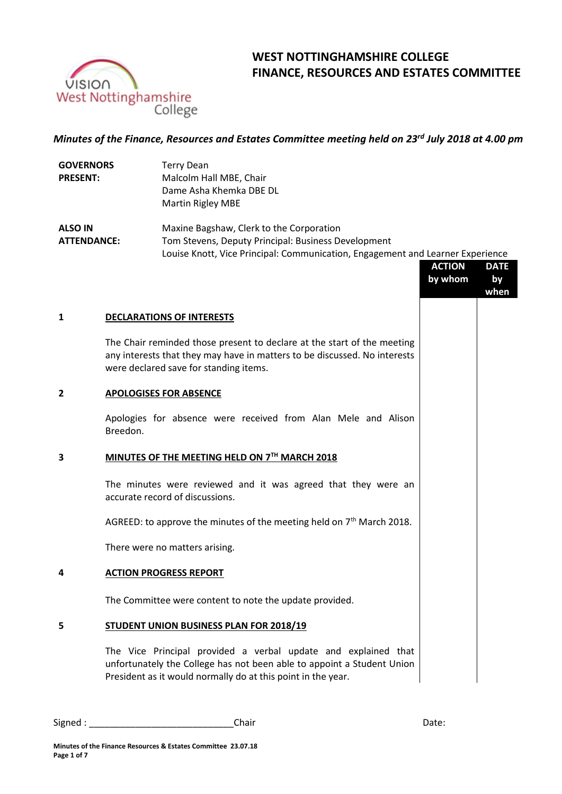

# **WEST NOTTINGHAMSHIRE COLLEGE FINANCE, RESOURCES AND ESTATES COMMITTEE**

## *Minutes of the Finance, Resources and Estates Committee meeting held on 23rd July 2018 at 4.00 pm*

| <b>GOVERNORS</b>   | Terry Dean                                                                     |
|--------------------|--------------------------------------------------------------------------------|
| <b>PRESENT:</b>    | Malcolm Hall MBE, Chair                                                        |
|                    | Dame Asha Khemka DBE DL                                                        |
|                    | Martin Rigley MBE                                                              |
| <b>ALSO IN</b>     | Maxine Bagshaw, Clerk to the Corporation                                       |
| <b>ATTENDANCE:</b> | Tom Stevens, Deputy Principal: Business Development                            |
|                    | Louise Knott, Vice Principal: Communication, Engagement and Learner Experience |
|                    | <b>ACTION</b><br><b>DATE</b>                                                   |

|                |                                                                                                                                                                                                | <b>ACTION</b><br>by whom | <b>DATE</b><br>by<br>when |
|----------------|------------------------------------------------------------------------------------------------------------------------------------------------------------------------------------------------|--------------------------|---------------------------|
| $\mathbf{1}$   | <b>DECLARATIONS OF INTERESTS</b>                                                                                                                                                               |                          |                           |
|                | The Chair reminded those present to declare at the start of the meeting<br>any interests that they may have in matters to be discussed. No interests<br>were declared save for standing items. |                          |                           |
| $\overline{2}$ | <b>APOLOGISES FOR ABSENCE</b>                                                                                                                                                                  |                          |                           |
|                | Apologies for absence were received from Alan Mele and Alison<br>Breedon.                                                                                                                      |                          |                           |
| 3              | MINUTES OF THE MEETING HELD ON 7TH MARCH 2018                                                                                                                                                  |                          |                           |
|                | The minutes were reviewed and it was agreed that they were an<br>accurate record of discussions.                                                                                               |                          |                           |
|                | AGREED: to approve the minutes of the meeting held on $7th$ March 2018.                                                                                                                        |                          |                           |
|                | There were no matters arising.                                                                                                                                                                 |                          |                           |
| 4              | <b>ACTION PROGRESS REPORT</b>                                                                                                                                                                  |                          |                           |
|                | The Committee were content to note the update provided.                                                                                                                                        |                          |                           |

### **5 STUDENT UNION BUSINESS PLAN FOR 2018/19**

The Vice Principal provided a verbal update and explained that unfortunately the College has not been able to appoint a Student Union President as it would normally do at this point in the year.

Signed : \_\_\_\_\_\_\_\_\_\_\_\_\_\_\_\_\_\_\_\_\_\_\_\_\_\_\_\_Chair Date: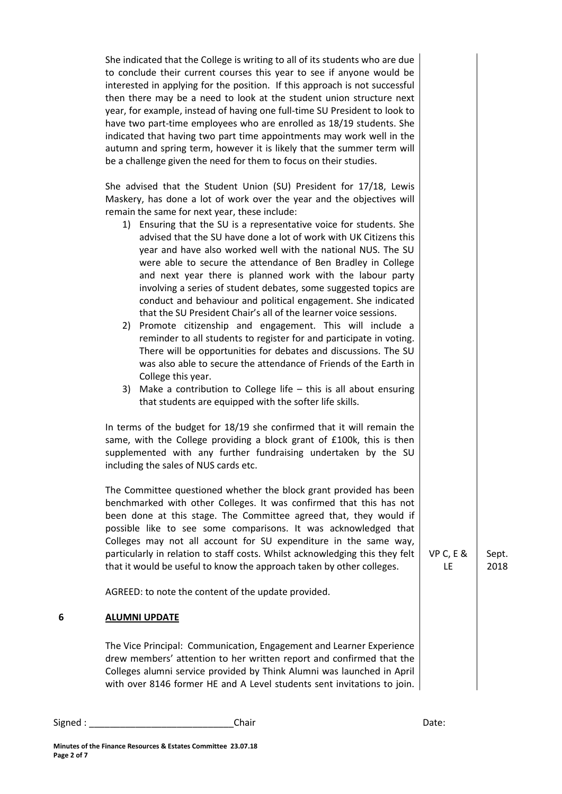She indicated that the College is writing to all of its students who are due to conclude their current courses this year to see if anyone would be interested in applying for the position. If this approach is not successful then there may be a need to look at the student union structure next year, for example, instead of having one full-time SU President to look to have two part-time employees who are enrolled as 18/19 students. She indicated that having two part time appointments may work well in the autumn and spring term, however it is likely that the summer term will be a challenge given the need for them to focus on their studies.

She advised that the Student Union (SU) President for 17/18, Lewis Maskery, has done a lot of work over the year and the objectives will remain the same for next year, these include:

- 1) Ensuring that the SU is a representative voice for students. She advised that the SU have done a lot of work with UK Citizens this year and have also worked well with the national NUS. The SU were able to secure the attendance of Ben Bradley in College and next year there is planned work with the labour party involving a series of student debates, some suggested topics are conduct and behaviour and political engagement. She indicated that the SU President Chair's all of the learner voice sessions.
- 2) Promote citizenship and engagement. This will include a reminder to all students to register for and participate in voting. There will be opportunities for debates and discussions. The SU was also able to secure the attendance of Friends of the Earth in College this year.
- 3) Make a contribution to College life this is all about ensuring that students are equipped with the softer life skills.

In terms of the budget for 18/19 she confirmed that it will remain the same, with the College providing a block grant of £100k, this is then supplemented with any further fundraising undertaken by the SU including the sales of NUS cards etc.

The Committee questioned whether the block grant provided has been benchmarked with other Colleges. It was confirmed that this has not been done at this stage. The Committee agreed that, they would if possible like to see some comparisons. It was acknowledged that Colleges may not all account for SU expenditure in the same way, particularly in relation to staff costs. Whilst acknowledging this they felt that it would be useful to know the approach taken by other colleges.

AGREED: to note the content of the update provided.

# **6 ALUMNI UPDATE**

The Vice Principal: Communication, Engagement and Learner Experience drew members' attention to her written report and confirmed that the Colleges alumni service provided by Think Alumni was launched in April with over 8146 former HE and A Level students sent invitations to join.

Signed : \_\_\_\_\_\_\_\_\_\_\_\_\_\_\_\_\_\_\_\_\_\_\_\_\_\_\_\_\_\_\_\_Chair \_\_\_\_\_\_\_\_\_\_\_\_\_\_\_\_\_\_\_\_\_\_\_\_\_\_\_\_\_\_\_\_\_Date:

VP C, E & LE

Sept. 2018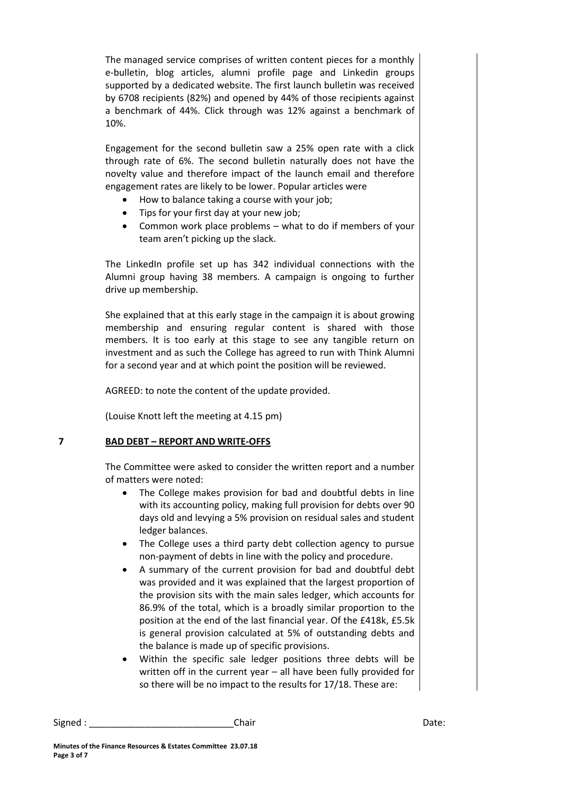The managed service comprises of written content pieces for a monthly e-bulletin, blog articles, alumni profile page and Linkedin groups supported by a dedicated website. The first launch bulletin was received by 6708 recipients (82%) and opened by 44% of those recipients against a benchmark of 44%. Click through was 12% against a benchmark of 10%.

Engagement for the second bulletin saw a 25% open rate with a click through rate of 6%. The second bulletin naturally does not have the novelty value and therefore impact of the launch email and therefore engagement rates are likely to be lower. Popular articles were

- How to balance taking a course with your job;
- Tips for your first day at your new job;
- Common work place problems what to do if members of your team aren't picking up the slack.

The LinkedIn profile set up has 342 individual connections with the Alumni group having 38 members. A campaign is ongoing to further drive up membership.

She explained that at this early stage in the campaign it is about growing membership and ensuring regular content is shared with those members. It is too early at this stage to see any tangible return on investment and as such the College has agreed to run with Think Alumni for a second year and at which point the position will be reviewed.

AGREED: to note the content of the update provided.

(Louise Knott left the meeting at 4.15 pm)

## **7 BAD DEBT – REPORT AND WRITE-OFFS**

The Committee were asked to consider the written report and a number of matters were noted:

- The College makes provision for bad and doubtful debts in line with its accounting policy, making full provision for debts over 90 days old and levying a 5% provision on residual sales and student ledger balances.
- The College uses a third party debt collection agency to pursue non-payment of debts in line with the policy and procedure.
- A summary of the current provision for bad and doubtful debt was provided and it was explained that the largest proportion of the provision sits with the main sales ledger, which accounts for 86.9% of the total, which is a broadly similar proportion to the position at the end of the last financial year. Of the £418k, £5.5k is general provision calculated at 5% of outstanding debts and the balance is made up of specific provisions.
- Within the specific sale ledger positions three debts will be written off in the current year – all have been fully provided for so there will be no impact to the results for 17/18. These are:

Signed : \_\_\_\_\_\_\_\_\_\_\_\_\_\_\_\_\_\_\_\_\_\_\_\_\_\_\_\_Chair Date: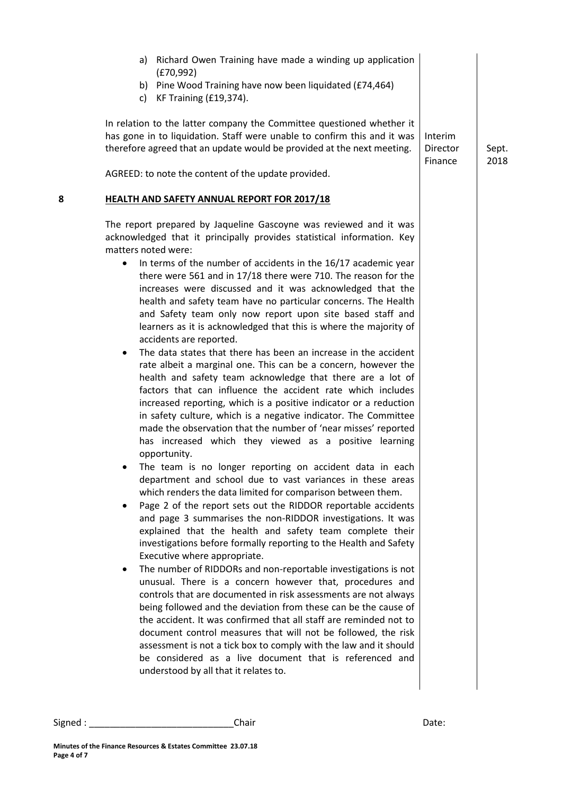|   | a) Richard Owen Training have made a winding up application<br>(E70, 992)<br>b) Pine Wood Training have now been liquidated (£74,464)<br>KF Training (£19,374).<br>c)<br>In relation to the latter company the Committee questioned whether it<br>has gone in to liquidation. Staff were unable to confirm this and it was<br>therefore agreed that an update would be provided at the next meeting.<br>AGREED: to note the content of the update provided.                                                                                                                                                                                                                                                                                                                                                                                                                                                                                                                                                                                                                                                                                                                                                                                                                                                                                                                                                                                                                                                                                                                                                                                                                                                                                                                                                                                                                                                                                                                                                                                                                                                                                                                                | Interim<br>Director<br>Finance | Sept.<br>2018 |
|---|--------------------------------------------------------------------------------------------------------------------------------------------------------------------------------------------------------------------------------------------------------------------------------------------------------------------------------------------------------------------------------------------------------------------------------------------------------------------------------------------------------------------------------------------------------------------------------------------------------------------------------------------------------------------------------------------------------------------------------------------------------------------------------------------------------------------------------------------------------------------------------------------------------------------------------------------------------------------------------------------------------------------------------------------------------------------------------------------------------------------------------------------------------------------------------------------------------------------------------------------------------------------------------------------------------------------------------------------------------------------------------------------------------------------------------------------------------------------------------------------------------------------------------------------------------------------------------------------------------------------------------------------------------------------------------------------------------------------------------------------------------------------------------------------------------------------------------------------------------------------------------------------------------------------------------------------------------------------------------------------------------------------------------------------------------------------------------------------------------------------------------------------------------------------------------------------|--------------------------------|---------------|
| 8 | HEALTH AND SAFETY ANNUAL REPORT FOR 2017/18<br>The report prepared by Jaqueline Gascoyne was reviewed and it was                                                                                                                                                                                                                                                                                                                                                                                                                                                                                                                                                                                                                                                                                                                                                                                                                                                                                                                                                                                                                                                                                                                                                                                                                                                                                                                                                                                                                                                                                                                                                                                                                                                                                                                                                                                                                                                                                                                                                                                                                                                                           |                                |               |
|   | acknowledged that it principally provides statistical information. Key<br>matters noted were:<br>In terms of the number of accidents in the 16/17 academic year<br>$\bullet$<br>there were 561 and in 17/18 there were 710. The reason for the<br>increases were discussed and it was acknowledged that the<br>health and safety team have no particular concerns. The Health<br>and Safety team only now report upon site based staff and<br>learners as it is acknowledged that this is where the majority of<br>accidents are reported.<br>The data states that there has been an increase in the accident<br>$\bullet$<br>rate albeit a marginal one. This can be a concern, however the<br>health and safety team acknowledge that there are a lot of<br>factors that can influence the accident rate which includes<br>increased reporting, which is a positive indicator or a reduction<br>in safety culture, which is a negative indicator. The Committee<br>made the observation that the number of 'near misses' reported<br>has increased which they viewed as a positive learning<br>opportunity.<br>The team is no longer reporting on accident data in each<br>department and school due to vast variances in these areas<br>which renders the data limited for comparison between them.<br>Page 2 of the report sets out the RIDDOR reportable accidents<br>and page 3 summarises the non-RIDDOR investigations. It was<br>explained that the health and safety team complete their<br>investigations before formally reporting to the Health and Safety<br>Executive where appropriate.<br>The number of RIDDORs and non-reportable investigations is not<br>unusual. There is a concern however that, procedures and<br>controls that are documented in risk assessments are not always<br>being followed and the deviation from these can be the cause of<br>the accident. It was confirmed that all staff are reminded not to<br>document control measures that will not be followed, the risk<br>assessment is not a tick box to comply with the law and it should<br>be considered as a live document that is referenced and<br>understood by all that it relates to. |                                |               |

Signed : \_\_\_\_\_\_\_\_\_\_\_\_\_\_\_\_\_\_\_\_\_\_\_\_\_\_\_\_Chair Date: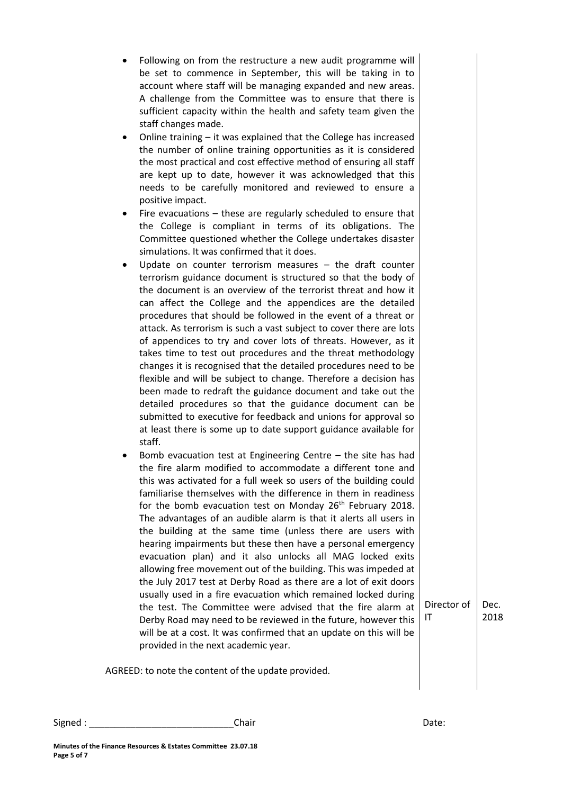- Following on from the restructure a new audit programme will be set to commence in September, this will be taking in to account where staff will be managing expanded and new areas. A challenge from the Committee was to ensure that there is sufficient capacity within the health and safety team given the staff changes made.
- Online training it was explained that the College has increased the number of online training opportunities as it is considered the most practical and cost effective method of ensuring all staff are kept up to date, however it was acknowledged that this needs to be carefully monitored and reviewed to ensure a positive impact.
- Fire evacuations these are regularly scheduled to ensure that the College is compliant in terms of its obligations. The Committee questioned whether the College undertakes disaster simulations. It was confirmed that it does.
- Update on counter terrorism measures the draft counter terrorism guidance document is structured so that the body of the document is an overview of the terrorist threat and how it can affect the College and the appendices are the detailed procedures that should be followed in the event of a threat or attack. As terrorism is such a vast subject to cover there are lots of appendices to try and cover lots of threats. However, as it takes time to test out procedures and the threat methodology changes it is recognised that the detailed procedures need to be flexible and will be subject to change. Therefore a decision has been made to redraft the guidance document and take out the detailed procedures so that the guidance document can be submitted to executive for feedback and unions for approval so at least there is some up to date support guidance available for staff.
- Bomb evacuation test at Engineering Centre the site has had the fire alarm modified to accommodate a different tone and this was activated for a full week so users of the building could familiarise themselves with the difference in them in readiness for the bomb evacuation test on Monday 26<sup>th</sup> February 2018. The advantages of an audible alarm is that it alerts all users in the building at the same time (unless there are users with hearing impairments but these then have a personal emergency evacuation plan) and it also unlocks all MAG locked exits allowing free movement out of the building. This was impeded at the July 2017 test at Derby Road as there are a lot of exit doors usually used in a fire evacuation which remained locked during the test. The Committee were advised that the fire alarm at Derby Road may need to be reviewed in the future, however this will be at a cost. It was confirmed that an update on this will be provided in the next academic year.

Director of Dec. 2018

AGREED: to note the content of the update provided.

IT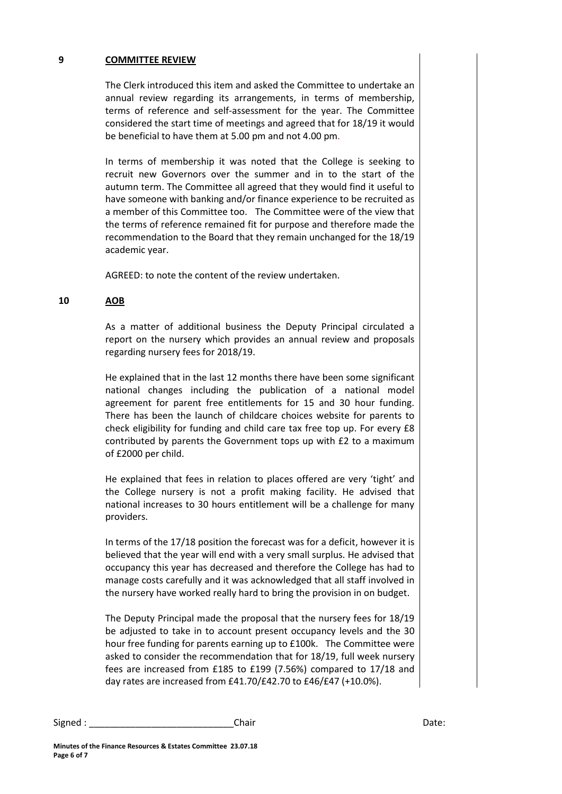## **9 COMMITTEE REVIEW**

The Clerk introduced this item and asked the Committee to undertake an annual review regarding its arrangements, in terms of membership, terms of reference and self-assessment for the year. The Committee considered the start time of meetings and agreed that for 18/19 it would be beneficial to have them at 5.00 pm and not 4.00 pm.

In terms of membership it was noted that the College is seeking to recruit new Governors over the summer and in to the start of the autumn term. The Committee all agreed that they would find it useful to have someone with banking and/or finance experience to be recruited as a member of this Committee too. The Committee were of the view that the terms of reference remained fit for purpose and therefore made the recommendation to the Board that they remain unchanged for the 18/19 academic year.

AGREED: to note the content of the review undertaken.

#### **10 AOB**

As a matter of additional business the Deputy Principal circulated a report on the nursery which provides an annual review and proposals regarding nursery fees for 2018/19.

He explained that in the last 12 months there have been some significant national changes including the publication of a national model agreement for parent free entitlements for 15 and 30 hour funding. There has been the launch of childcare choices website for parents to check eligibility for funding and child care tax free top up. For every £8 contributed by parents the Government tops up with £2 to a maximum of £2000 per child.

He explained that fees in relation to places offered are very 'tight' and the College nursery is not a profit making facility. He advised that national increases to 30 hours entitlement will be a challenge for many providers.

In terms of the 17/18 position the forecast was for a deficit, however it is believed that the year will end with a very small surplus. He advised that occupancy this year has decreased and therefore the College has had to manage costs carefully and it was acknowledged that all staff involved in the nursery have worked really hard to bring the provision in on budget.

The Deputy Principal made the proposal that the nursery fees for 18/19 be adjusted to take in to account present occupancy levels and the 30 hour free funding for parents earning up to £100k. The Committee were asked to consider the recommendation that for 18/19, full week nursery fees are increased from £185 to £199 (7.56%) compared to 17/18 and day rates are increased from £41.70/£42.70 to £46/£47 (+10.0%).

Signed : \_\_\_\_\_\_\_\_\_\_\_\_\_\_\_\_\_\_\_\_\_\_\_\_\_\_\_\_Chair Date: